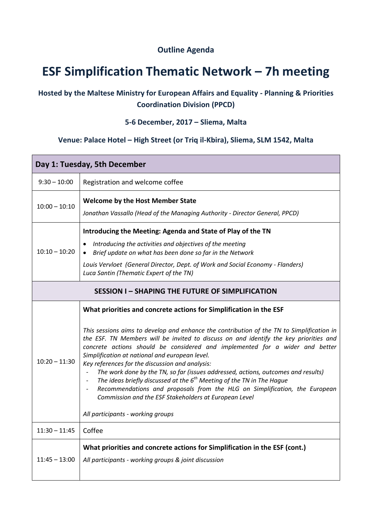## **Outline Agenda**

# **ESF Simplification Thematic Network – 7h meeting**

## **Hosted by the Maltese Ministry for European Affairs and Equality - Planning & Priorities Coordination Division (PPCD)**

### **5-6 December, 2017 – Sliema, Malta**

#### **Venue: Palace Hotel – High Street (or Triq il-Kbira), Sliema, SLM 1542, Malta**

| Day 1: Tuesday, 5th December                          |                                                                                                                                                                                                                                                                                                                                                                                                                                                                                                                                                                                                                                                                                                                                                                                                                                                |  |
|-------------------------------------------------------|------------------------------------------------------------------------------------------------------------------------------------------------------------------------------------------------------------------------------------------------------------------------------------------------------------------------------------------------------------------------------------------------------------------------------------------------------------------------------------------------------------------------------------------------------------------------------------------------------------------------------------------------------------------------------------------------------------------------------------------------------------------------------------------------------------------------------------------------|--|
| $9:30 - 10:00$                                        | Registration and welcome coffee                                                                                                                                                                                                                                                                                                                                                                                                                                                                                                                                                                                                                                                                                                                                                                                                                |  |
| $10:00 - 10:10$                                       | <b>Welcome by the Host Member State</b><br>Jonathan Vassallo (Head of the Managing Authority - Director General, PPCD)                                                                                                                                                                                                                                                                                                                                                                                                                                                                                                                                                                                                                                                                                                                         |  |
| $10:10 - 10:20$                                       | Introducing the Meeting: Agenda and State of Play of the TN<br>Introducing the activities and objectives of the meeting<br>Brief update on what has been done so far in the Network<br>Louis Vervloet (General Director, Dept. of Work and Social Economy - Flanders)<br>Luca Santin (Thematic Expert of the TN)                                                                                                                                                                                                                                                                                                                                                                                                                                                                                                                               |  |
| <b>SESSION I-SHAPING THE FUTURE OF SIMPLIFICATION</b> |                                                                                                                                                                                                                                                                                                                                                                                                                                                                                                                                                                                                                                                                                                                                                                                                                                                |  |
| $10:20 - 11:30$                                       | What priorities and concrete actions for Simplification in the ESF<br>This sessions aims to develop and enhance the contribution of the TN to Simplification in<br>the ESF. TN Members will be invited to discuss on and identify the key priorities and<br>concrete actions should be considered and implemented for a wider and better<br>Simplification at national and european level.<br>Key references for the discussion and analysis:<br>The work done by the TN, so far (issues addressed, actions, outcomes and results)<br>$\blacksquare$<br>The ideas briefly discussed at the $6th$ Meeting of the TN in The Hague<br>$\blacksquare$<br>Recommendations and proposals from the HLG on Simplification, the European<br>$\frac{1}{2}$<br>Commission and the ESF Stakeholders at European Level<br>All participants - working groups |  |
| $11:30 - 11:45$                                       | Coffee                                                                                                                                                                                                                                                                                                                                                                                                                                                                                                                                                                                                                                                                                                                                                                                                                                         |  |
| $11:45 - 13:00$                                       | What priorities and concrete actions for Simplification in the ESF (cont.)<br>All participants - working groups & joint discussion                                                                                                                                                                                                                                                                                                                                                                                                                                                                                                                                                                                                                                                                                                             |  |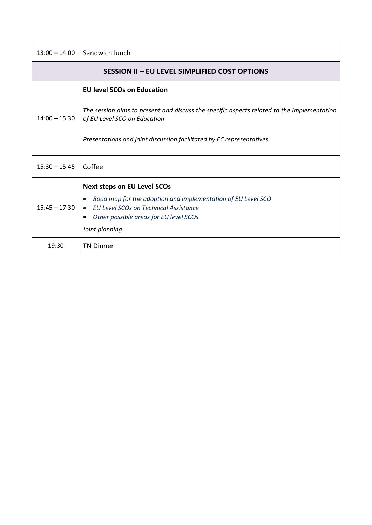| $13:00 - 14:00$                               | Sandwich lunch                                                                                                             |  |
|-----------------------------------------------|----------------------------------------------------------------------------------------------------------------------------|--|
| SESSION II - EU LEVEL SIMPLIFIED COST OPTIONS |                                                                                                                            |  |
|                                               | <b>EU level SCOs on Education</b>                                                                                          |  |
| $14:00 - 15:30$                               | The session aims to present and discuss the specific aspects related to the implementation<br>of EU Level SCO on Education |  |
|                                               | Presentations and joint discussion facilitated by EC representatives                                                       |  |
| $15:30 - 15:45$                               | Coffee                                                                                                                     |  |
| $15:45 - 17:30$                               | <b>Next steps on EU Level SCOs</b>                                                                                         |  |
|                                               | Road map for the adoption and implementation of EU Level SCO<br>• EU Level SCOs on Technical Assistance                    |  |
|                                               | Other possible areas for EU level SCOs<br>$\bullet$                                                                        |  |
|                                               | Joint planning                                                                                                             |  |
| 19:30                                         | <b>TN Dinner</b>                                                                                                           |  |